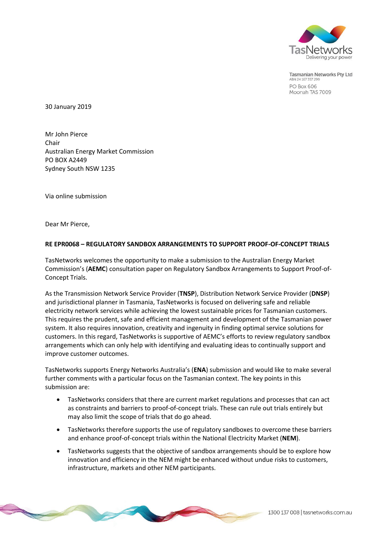

Tasmanian Networks Pty Ltd ABN 24 167 357 299 PO Box 606 Moonah TAS 7009

30 January 2019

Mr John Pierce Chair Australian Energy Market Commission PO BOX A2449 Sydney South NSW 1235

Via online submission

Dear Mr Pierce,

#### **RE EPR0068 – REGULATORY SANDBOX ARRANGEMENTS TO SUPPORT PROOF-OF-CONCEPT TRIALS**

TasNetworks welcomes the opportunity to make a submission to the Australian Energy Market Commission's (**AEMC**) consultation paper on Regulatory Sandbox Arrangements to Support Proof-of-Concept Trials.

As the Transmission Network Service Provider (**TNSP**), Distribution Network Service Provider (**DNSP**) and jurisdictional planner in Tasmania, TasNetworks is focused on delivering safe and reliable electricity network services while achieving the lowest sustainable prices for Tasmanian customers. This requires the prudent, safe and efficient management and development of the Tasmanian power system. It also requires innovation, creativity and ingenuity in finding optimal service solutions for customers. In this regard, TasNetworks is supportive of AEMC's efforts to review regulatory sandbox arrangements which can only help with identifying and evaluating ideas to continually support and improve customer outcomes.

TasNetworks supports Energy Networks Australia's (**ENA**) submission and would like to make several further comments with a particular focus on the Tasmanian context. The key points in this submission are:

- TasNetworks considers that there are current market regulations and processes that can act as constraints and barriers to proof-of-concept trials. These can rule out trials entirely but may also limit the scope of trials that do go ahead.
- TasNetworks therefore supports the use of regulatory sandboxes to overcome these barriers and enhance proof-of-concept trials within the National Electricity Market (**NEM**).
- TasNetworks suggests that the objective of sandbox arrangements should be to explore how innovation and efficiency in the NEM might be enhanced without undue risks to customers, infrastructure, markets and other NEM participants.

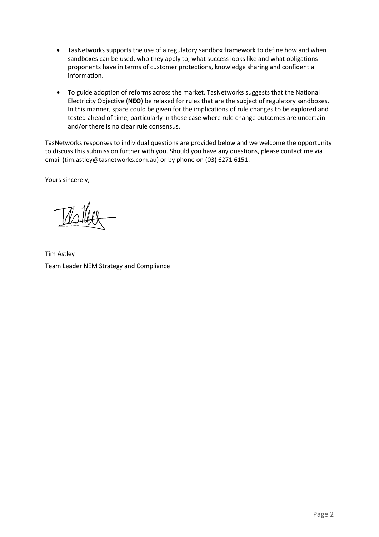- TasNetworks supports the use of a regulatory sandbox framework to define how and when sandboxes can be used, who they apply to, what success looks like and what obligations proponents have in terms of customer protections, knowledge sharing and confidential information.
- To guide adoption of reforms across the market, TasNetworks suggests that the National Electricity Objective (**NEO**) be relaxed for rules that are the subject of regulatory sandboxes. In this manner, space could be given for the implications of rule changes to be explored and tested ahead of time, particularly in those case where rule change outcomes are uncertain and/or there is no clear rule consensus.

TasNetworks responses to individual questions are provided below and we welcome the opportunity to discuss this submission further with you. Should you have any questions, please contact me via email [\(tim.astley@tasnetworks.com.au\)](mailto:tim.astley@tasnetworks.com.au) or by phone on (03) 6271 6151.

Yours sincerely,

Tim Astley Team Leader NEM Strategy and Compliance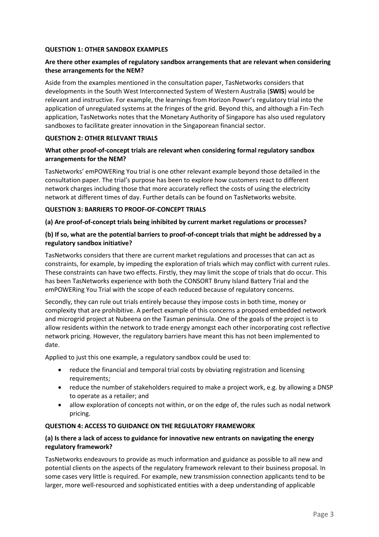### **QUESTION 1: OTHER SANDBOX EXAMPLES**

## **Are there other examples of regulatory sandbox arrangements that are relevant when considering these arrangements for the NEM?**

Aside from the examples mentioned in the consultation paper, TasNetworks considers that developments in the South West Interconnected System of Western Australia (**SWIS**) would be relevant and instructive. For example, the learnings from Horizon Power's regulatory trial into the application of unregulated systems at the fringes of the grid. Beyond this, and although a Fin-Tech application, TasNetworks notes that the Monetary Authority of Singapore has also used regulatory sandboxes to facilitate greater innovation in the Singaporean financial sector.

### **QUESTION 2: OTHER RELEVANT TRIALS**

## **What other proof-of-concept trials are relevant when considering formal regulatory sandbox arrangements for the NEM?**

TasNetworks' emPOWERing You trial is one other relevant example beyond those detailed in the consultation paper. The trial's purpose has been to explore how customers react to different network charges including those that more accurately reflect the costs of using the electricity network at different times of day. Further details can be found on TasNetworks website.

### **QUESTION 3: BARRIERS TO PROOF-OF-CONCEPT TRIALS**

### **(a) Are proof-of-concept trials being inhibited by current market regulations or processes?**

### **(b) If so, what are the potential barriers to proof-of-concept trials that might be addressed by a regulatory sandbox initiative?**

TasNetworks considers that there are current market regulations and processes that can act as constraints, for example, by impeding the exploration of trials which may conflict with current rules. These constraints can have two effects. Firstly, they may limit the scope of trials that do occur. This has been TasNetworks experience with both the CONSORT Bruny Island Battery Trial and the emPOWERing You Trial with the scope of each reduced because of regulatory concerns.

Secondly, they can rule out trials entirely because they impose costs in both time, money or complexity that are prohibitive. A perfect example of this concerns a proposed embedded network and microgrid project at Nubeena on the Tasman peninsula. One of the goals of the project is to allow residents within the network to trade energy amongst each other incorporating cost reflective network pricing. However, the regulatory barriers have meant this has not been implemented to date.

Applied to just this one example, a regulatory sandbox could be used to:

- reduce the financial and temporal trial costs by obviating registration and licensing requirements;
- reduce the number of stakeholders required to make a project work, e.g. by allowing a DNSP to operate as a retailer; and
- allow exploration of concepts not within, or on the edge of, the rules such as nodal network pricing.

#### **QUESTION 4: ACCESS TO GUIDANCE ON THE REGULATORY FRAMEWORK**

## **(a) Is there a lack of access to guidance for innovative new entrants on navigating the energy regulatory framework?**

TasNetworks endeavours to provide as much information and guidance as possible to all new and potential clients on the aspects of the regulatory framework relevant to their business proposal. In some cases very little is required. For example, new transmission connection applicants tend to be larger, more well-resourced and sophisticated entities with a deep understanding of applicable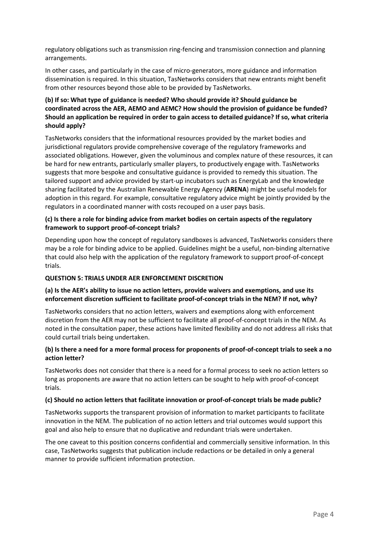regulatory obligations such as transmission ring-fencing and transmission connection and planning arrangements.

In other cases, and particularly in the case of micro-generators, more guidance and information dissemination is required. In this situation, TasNetworks considers that new entrants might benefit from other resources beyond those able to be provided by TasNetworks.

# **(b) If so: What type of guidance is needed? Who should provide it? Should guidance be coordinated across the AER, AEMO and AEMC? How should the provision of guidance be funded? Should an application be required in order to gain access to detailed guidance? If so, what criteria should apply?**

TasNetworks considers that the informational resources provided by the market bodies and jurisdictional regulators provide comprehensive coverage of the regulatory frameworks and associated obligations. However, given the voluminous and complex nature of these resources, it can be hard for new entrants, particularly smaller players, to productively engage with. TasNetworks suggests that more bespoke and consultative guidance is provided to remedy this situation. The tailored support and advice provided by start-up incubators such as EnergyLab and the knowledge sharing facilitated by the Australian Renewable Energy Agency (**ARENA**) might be useful models for adoption in this regard. For example, consultative regulatory advice might be jointly provided by the regulators in a coordinated manner with costs recouped on a user pays basis.

## **(c) Is there a role for binding advice from market bodies on certain aspects of the regulatory framework to support proof-of-concept trials?**

Depending upon how the concept of regulatory sandboxes is advanced, TasNetworks considers there may be a role for binding advice to be applied. Guidelines might be a useful, non-binding alternative that could also help with the application of the regulatory framework to support proof-of-concept trials.

## **QUESTION 5: TRIALS UNDER AER ENFORCEMENT DISCRETION**

# **(a) Is the AER's ability to issue no action letters, provide waivers and exemptions, and use its enforcement discretion sufficient to facilitate proof-of-concept trials in the NEM? If not, why?**

TasNetworks considers that no action letters, waivers and exemptions along with enforcement discretion from the AER may not be sufficient to facilitate all proof-of-concept trials in the NEM. As noted in the consultation paper, these actions have limited flexibility and do not address all risks that could curtail trials being undertaken.

## **(b) Is there a need for a more formal process for proponents of proof-of-concept trials to seek a no action letter?**

TasNetworks does not consider that there is a need for a formal process to seek no action letters so long as proponents are aware that no action letters can be sought to help with proof-of-concept trials.

#### **(c) Should no action letters that facilitate innovation or proof-of-concept trials be made public?**

TasNetworks supports the transparent provision of information to market participants to facilitate innovation in the NEM. The publication of no action letters and trial outcomes would support this goal and also help to ensure that no duplicative and redundant trials were undertaken.

The one caveat to this position concerns confidential and commercially sensitive information. In this case, TasNetworks suggests that publication include redactions or be detailed in only a general manner to provide sufficient information protection.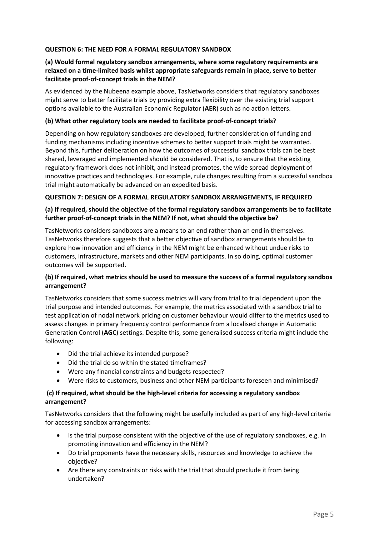### **QUESTION 6: THE NEED FOR A FORMAL REGULATORY SANDBOX**

## **(a) Would formal regulatory sandbox arrangements, where some regulatory requirements are relaxed on a time-limited basis whilst appropriate safeguards remain in place, serve to better facilitate proof-of-concept trials in the NEM?**

As evidenced by the Nubeena example above, TasNetworks considers that regulatory sandboxes might serve to better facilitate trials by providing extra flexibility over the existing trial support options available to the Australian Economic Regulator (**AER**) such as no action letters.

#### **(b) What other regulatory tools are needed to facilitate proof-of-concept trials?**

Depending on how regulatory sandboxes are developed, further consideration of funding and funding mechanisms including incentive schemes to better support trials might be warranted. Beyond this, further deliberation on how the outcomes of successful sandbox trials can be best shared, leveraged and implemented should be considered. That is, to ensure that the existing regulatory framework does not inhibit, and instead promotes, the wide spread deployment of innovative practices and technologies. For example, rule changes resulting from a successful sandbox trial might automatically be advanced on an expedited basis.

### **QUESTION 7: DESIGN OF A FORMAL REGULATORY SANDBOX ARRANGEMENTS, IF REQUIRED**

## **(a) If required, should the objective of the formal regulatory sandbox arrangements be to facilitate further proof-of-concept trials in the NEM? If not, what should the objective be?**

TasNetworks considers sandboxes are a means to an end rather than an end in themselves. TasNetworks therefore suggests that a better objective of sandbox arrangements should be to explore how innovation and efficiency in the NEM might be enhanced without undue risks to customers, infrastructure, markets and other NEM participants. In so doing, optimal customer outcomes will be supported.

## **(b) If required, what metrics should be used to measure the success of a formal regulatory sandbox arrangement?**

TasNetworks considers that some success metrics will vary from trial to trial dependent upon the trial purpose and intended outcomes. For example, the metrics associated with a sandbox trial to test application of nodal network pricing on customer behaviour would differ to the metrics used to assess changes in primary frequency control performance from a localised change in Automatic Generation Control (**AGC**) settings. Despite this, some generalised success criteria might include the following:

- Did the trial achieve its intended purpose?
- Did the trial do so within the stated timeframes?
- Were any financial constraints and budgets respected?
- Were risks to customers, business and other NEM participants foreseen and minimised?

### **(c) If required, what should be the high-level criteria for accessing a regulatory sandbox arrangement?**

TasNetworks considers that the following might be usefully included as part of any high-level criteria for accessing sandbox arrangements:

- Is the trial purpose consistent with the objective of the use of regulatory sandboxes, e.g. in promoting innovation and efficiency in the NEM?
- Do trial proponents have the necessary skills, resources and knowledge to achieve the objective?
- Are there any constraints or risks with the trial that should preclude it from being undertaken?